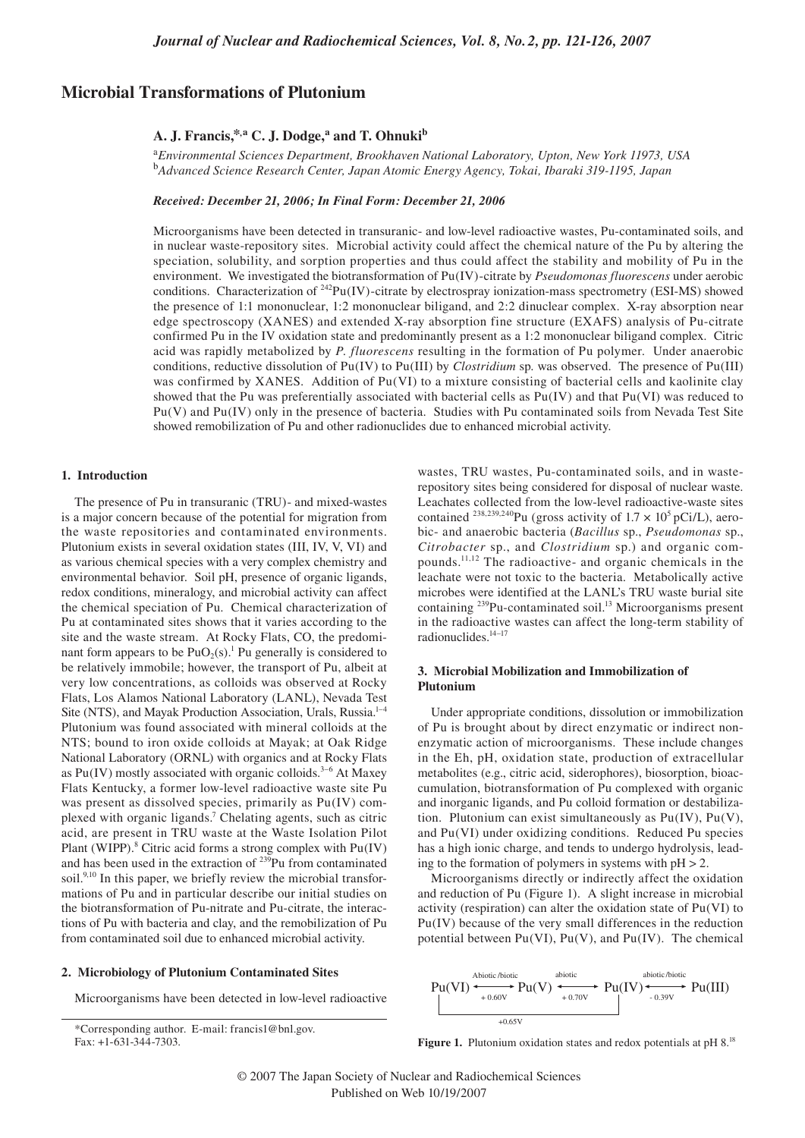# **Microbial Transformations of Plutonium**

# **A. J. Francis,\*,a C. J. Dodge,<sup>a</sup> and T. Ohnukib**

<sup>a</sup>*Environmental Sciences Department, Brookhaven National Laboratory, Upton, New York 11973, USA* <sup>b</sup>*Advanced Science Research Center, Japan Atomic Energy Agency, Tokai, Ibaraki 319-1195, Japan*

#### *Received: December 21, 2006; In Final Form: December 21, 2006*

Microorganisms have been detected in transuranic- and low-level radioactive wastes, Pu-contaminated soils, and in nuclear waste-repository sites. Microbial activity could affect the chemical nature of the Pu by altering the speciation, solubility, and sorption properties and thus could affect the stability and mobility of Pu in the environment. We investigated the biotransformation of Pu(IV)-citrate by *Pseudomonas fluorescens* under aerobic conditions. Characterization of  $242Pu(IV)$ -citrate by electrospray ionization-mass spectrometry (ESI-MS) showed the presence of 1:1 mononuclear, 1:2 mononuclear biligand, and 2:2 dinuclear complex. X-ray absorption near edge spectroscopy (XANES) and extended X-ray absorption fine structure (EXAFS) analysis of Pu-citrate confirmed Pu in the IV oxidation state and predominantly present as a 1:2 mononuclear biligand complex. Citric acid was rapidly metabolized by *P. fluorescens* resulting in the formation of Pu polymer. Under anaerobic conditions, reductive dissolution of Pu(IV) to Pu(III) by *Clostridium* sp. was observed. The presence of Pu(III) was confirmed by XANES. Addition of Pu(VI) to a mixture consisting of bacterial cells and kaolinite clay showed that the Pu was preferentially associated with bacterial cells as Pu(IV) and that Pu(VI) was reduced to Pu(V) and Pu(IV) only in the presence of bacteria. Studies with Pu contaminated soils from Nevada Test Site showed remobilization of Pu and other radionuclides due to enhanced microbial activity.

#### **1. Introduction**

The presence of Pu in transuranic (TRU)- and mixed-wastes is a major concern because of the potential for migration from the waste repositories and contaminated environments. Plutonium exists in several oxidation states (III, IV, V, VI) and as various chemical species with a very complex chemistry and environmental behavior. Soil pH, presence of organic ligands, redox conditions, mineralogy, and microbial activity can affect the chemical speciation of Pu. Chemical characterization of Pu at contaminated sites shows that it varies according to the site and the waste stream. At Rocky Flats, CO, the predominant form appears to be  $PuO<sub>2</sub>(s)$ .<sup>1</sup> Pu generally is considered to be relatively immobile; however, the transport of Pu, albeit at very low concentrations, as colloids was observed at Rocky Flats, Los Alamos National Laboratory (LANL), Nevada Test Site (NTS), and Mayak Production Association, Urals, Russia.<sup>1-4</sup> Plutonium was found associated with mineral colloids at the NTS; bound to iron oxide colloids at Mayak; at Oak Ridge National Laboratory (ORNL) with organics and at Rocky Flats as  $Pu(IV)$  mostly associated with organic colloids.<sup>3-6</sup> At Maxey Flats Kentucky, a former low-level radioactive waste site Pu was present as dissolved species, primarily as Pu(IV) complexed with organic ligands. 7 Chelating agents, such as citric acid, are present in TRU waste at the Waste Isolation Pilot Plant (WIPP).<sup>8</sup> Citric acid forms a strong complex with Pu(IV) and has been used in the extraction of  $239$ Pu from contaminated soil.<sup>9,10</sup> In this paper, we briefly review the microbial transformations of Pu and in particular describe our initial studies on the biotransformation of Pu-nitrate and Pu-citrate, the interactions of Pu with bacteria and clay, and the remobilization of Pu from contaminated soil due to enhanced microbial activity.

## **2. Microbiology of Plutonium Contaminated Sites**

Microorganisms have been detected in low-level radioactive

wastes, TRU wastes, Pu-contaminated soils, and in wasterepository sites being considered for disposal of nuclear waste. Leachates collected from the low-level radioactive-waste sites contained <sup>238,239,240</sup>Pu (gross activity of  $1.7 \times 10^5$  pCi/L), aerobic- and anaerobic bacteria (*Bacillus* sp., *Pseudomonas* sp., *Citrobacter* sp., and *Clostridium* sp.) and organic compounds.11,12 The radioactive- and organic chemicals in the leachate were not toxic to the bacteria. Metabolically active microbes were identified at the LANL's TRU waste burial site containing <sup>239</sup>Pu-contaminated soil.<sup>13</sup> Microorganisms present in the radioactive wastes can affect the long-term stability of radionuclides.14–17

# **3. Microbial Mobilization and Immobilization of Plutonium**

Under appropriate conditions, dissolution or immobilization of Pu is brought about by direct enzymatic or indirect nonenzymatic action of microorganisms. These include changes in the Eh, pH, oxidation state, production of extracellular metabolites (e.g., citric acid, siderophores), biosorption, bioaccumulation, biotransformation of Pu complexed with organic and inorganic ligands, and Pu colloid formation or destabilization. Plutonium can exist simultaneously as Pu(IV), Pu(V), and Pu(VI) under oxidizing conditions. Reduced Pu species has a high ionic charge, and tends to undergo hydrolysis, leading to the formation of polymers in systems with  $pH > 2$ .

Microorganisms directly or indirectly affect the oxidation and reduction of Pu (Figure 1). A slight increase in microbial activity (respiration) can alter the oxidation state of Pu(VI) to Pu(IV) because of the very small differences in the reduction potential between  $Pu(VI)$ ,  $Pu(V)$ , and  $Pu(IV)$ . The chemical



Figure 1. Plutonium oxidation states and redox potentials at pH 8.<sup>18</sup>

<sup>\*</sup>Corresponding author. E-mail: francis1@bnl.gov. Fax: +1-631-344-7303.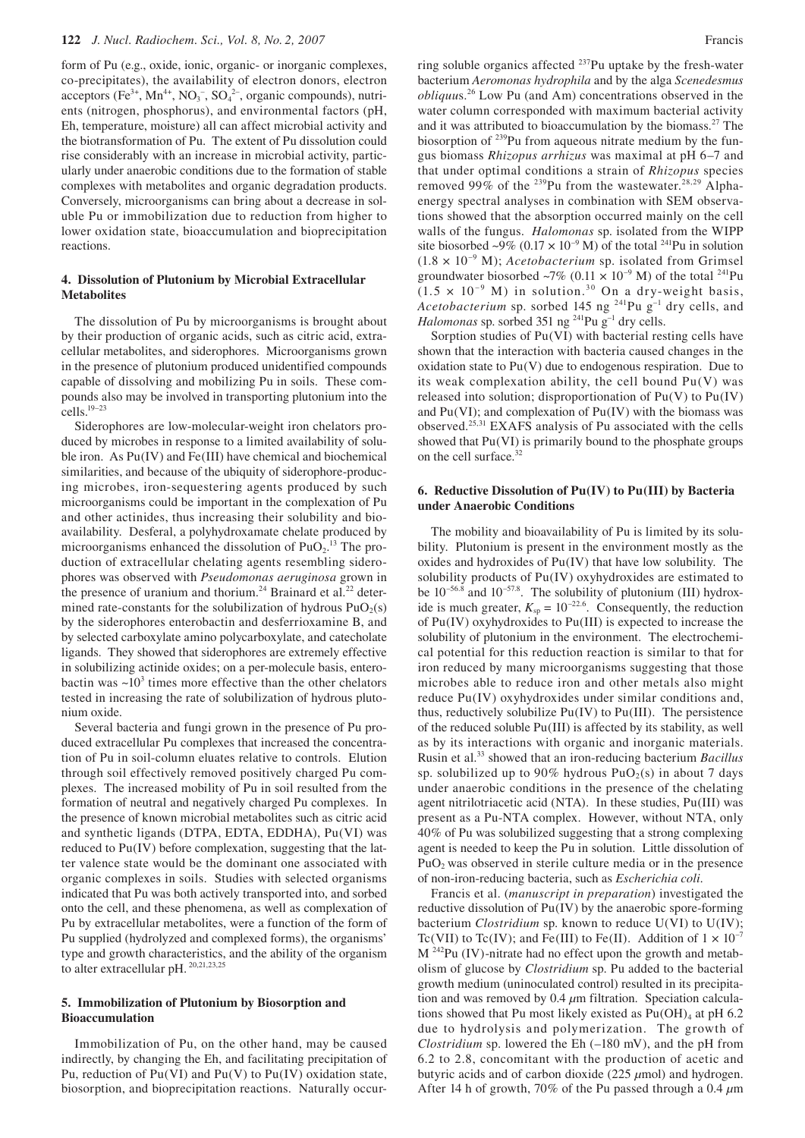form of Pu (e.g., oxide, ionic, organic- or inorganic complexes, co-precipitates), the availability of electron donors, electron acceptors (Fe<sup>3+</sup>, Mn<sup>4+</sup>, NO<sub>3</sub><sup>-</sup>, SO<sub>4</sub><sup>2-</sup>, organic compounds), nutrients (nitrogen, phosphorus), and environmental factors (pH, Eh, temperature, moisture) all can affect microbial activity and the biotransformation of Pu. The extent of Pu dissolution could rise considerably with an increase in microbial activity, particularly under anaerobic conditions due to the formation of stable complexes with metabolites and organic degradation products. Conversely, microorganisms can bring about a decrease in soluble Pu or immobilization due to reduction from higher to lower oxidation state, bioaccumulation and bioprecipitation reactions.

## **4. Dissolution of Plutonium by Microbial Extracellular Metabolites**

The dissolution of Pu by microorganisms is brought about by their production of organic acids, such as citric acid, extracellular metabolites, and siderophores. Microorganisms grown in the presence of plutonium produced unidentified compounds capable of dissolving and mobilizing Pu in soils. These compounds also may be involved in transporting plutonium into the cells.19–23

Siderophores are low-molecular-weight iron chelators produced by microbes in response to a limited availability of soluble iron. As Pu(IV) and Fe(III) have chemical and biochemical similarities, and because of the ubiquity of siderophore-producing microbes, iron-sequestering agents produced by such microorganisms could be important in the complexation of Pu and other actinides, thus increasing their solubility and bioavailability. Desferal, a polyhydroxamate chelate produced by microorganisms enhanced the dissolution of  $PuO<sub>2</sub>$ .<sup>13</sup> The production of extracellular chelating agents resembling siderophores was observed with *Pseudomonas aeruginosa* grown in the presence of uranium and thorium.<sup>24</sup> Brainard et al.<sup>22</sup> determined rate-constants for the solubilization of hydrous  $PuO<sub>2</sub>(s)$ by the siderophores enterobactin and desferrioxamine B, and by selected carboxylate amino polycarboxylate, and catecholate ligands. They showed that siderophores are extremely effective in solubilizing actinide oxides; on a per-molecule basis, enterobactin was  $\sim 10^3$  times more effective than the other chelators tested in increasing the rate of solubilization of hydrous plutonium oxide.

Several bacteria and fungi grown in the presence of Pu produced extracellular Pu complexes that increased the concentration of Pu in soil-column eluates relative to controls. Elution through soil effectively removed positively charged Pu complexes. The increased mobility of Pu in soil resulted from the formation of neutral and negatively charged Pu complexes. In the presence of known microbial metabolites such as citric acid and synthetic ligands (DTPA, EDTA, EDDHA), Pu(VI) was reduced to Pu(IV) before complexation, suggesting that the latter valence state would be the dominant one associated with organic complexes in soils. Studies with selected organisms indicated that Pu was both actively transported into, and sorbed onto the cell, and these phenomena, as well as complexation of Pu by extracellular metabolites, were a function of the form of Pu supplied (hydrolyzed and complexed forms), the organisms' type and growth characteristics, and the ability of the organism to alter extracellular pH. 20,21,23,25

### **5. Immobilization of Plutonium by Biosorption and Bioaccumulation**

Immobilization of Pu, on the other hand, may be caused indirectly, by changing the Eh, and facilitating precipitation of Pu, reduction of  $Pu(VI)$  and  $Pu(V)$  to  $Pu(IV)$  oxidation state, biosorption, and bioprecipitation reactions. Naturally occurring soluble organics affected  $237$ Pu uptake by the fresh-water bacterium *Aeromonas hydrophila* and by the alga *Scenedesmus obliquu*s.26 Low Pu (and Am) concentrations observed in the water column corresponded with maximum bacterial activity and it was attributed to bioaccumulation by the biomass.27 The biosorption of <sup>239</sup>Pu from aqueous nitrate medium by the fungus biomass *Rhizopus arrhizus* was maximal at pH 6–7 and that under optimal conditions a strain of *Rhizopus* species removed 99% of the <sup>239</sup>Pu from the wastewater.<sup>28,29</sup> Alphaenergy spectral analyses in combination with SEM observations showed that the absorption occurred mainly on the cell walls of the fungus. *Halomonas* sp. isolated from the WIPP site biosorbed ~9% (0.17  $\times$  10<sup>-9</sup> M) of the total <sup>241</sup>Pu in solution  $(1.8 \times 10^{-9} \text{ M})$ ; *Acetobacterium* sp. isolated from Grimsel groundwater biosorbed ~7% (0.11  $\times$  10<sup>-9</sup> M) of the total <sup>241</sup>Pu  $(1.5 \times 10^{-9} \text{ M})$  in solution.<sup>30</sup> On a dry-weight basis, *Acetobacterium* sp. sorbed 145 ng <sup>241</sup>Pu g<sup>-1</sup> dry cells, and *Halomonas* sp. sorbed 351 ng <sup>241</sup>Pu g<sup>-1</sup> dry cells.

Sorption studies of Pu(VI) with bacterial resting cells have shown that the interaction with bacteria caused changes in the oxidation state to  $Pu(V)$  due to endogenous respiration. Due to its weak complexation ability, the cell bound  $Pu(V)$  was released into solution; disproportionation of  $Pu(V)$  to  $Pu(IV)$ and  $Pu(VI)$ ; and complexation of  $Pu(IV)$  with the biomass was observed.25,31 EXAFS analysis of Pu associated with the cells showed that Pu(VI) is primarily bound to the phosphate groups on the cell surface.<sup>32</sup>

#### **6. Reductive Dissolution of Pu(IV) to Pu(III) by Bacteria under Anaerobic Conditions**

The mobility and bioavailability of Pu is limited by its solubility. Plutonium is present in the environment mostly as the oxides and hydroxides of Pu(IV) that have low solubility. The solubility products of Pu(IV) oxyhydroxides are estimated to be  $10^{-56.8}$  and  $10^{-57.8}$ . The solubility of plutonium (III) hydroxide is much greater,  $K_{\text{sp}} = 10^{-22.6}$ . Consequently, the reduction of Pu(IV) oxyhydroxides to Pu(III) is expected to increase the solubility of plutonium in the environment. The electrochemical potential for this reduction reaction is similar to that for iron reduced by many microorganisms suggesting that those microbes able to reduce iron and other metals also might reduce Pu(IV) oxyhydroxides under similar conditions and, thus, reductively solubilize Pu(IV) to Pu(III). The persistence of the reduced soluble Pu(III) is affected by its stability, as well as by its interactions with organic and inorganic materials. Rusin et al.33 showed that an iron-reducing bacterium *Bacillus* sp. solubilized up to 90% hydrous  $PuO<sub>2</sub>(s)$  in about 7 days under anaerobic conditions in the presence of the chelating agent nitrilotriacetic acid (NTA). In these studies, Pu(III) was present as a Pu-NTA complex. However, without NTA, only 40% of Pu was solubilized suggesting that a strong complexing agent is needed to keep the Pu in solution. Little dissolution of  $PuO<sub>2</sub>$  was observed in sterile culture media or in the presence of non-iron-reducing bacteria, such as *Escherichia coli*.

Francis et al. (*manuscript in preparation*) investigated the reductive dissolution of Pu(IV) by the anaerobic spore-forming bacterium *Clostridium* sp. known to reduce U(VI) to U(IV); Tc(VII) to Tc(IV); and Fe(III) to Fe(II). Addition of  $1 \times 10^{-7}$ M 242Pu (IV)-nitrate had no effect upon the growth and metabolism of glucose by *Clostridium* sp. Pu added to the bacterial growth medium (uninoculated control) resulted in its precipitation and was removed by 0.4 *µ*m filtration. Speciation calculations showed that Pu most likely existed as  $Pu(OH)<sub>4</sub>$  at pH 6.2 due to hydrolysis and polymerization. The growth of *Clostridium* sp. lowered the Eh (–180 mV), and the pH from 6.2 to 2.8, concomitant with the production of acetic and butyric acids and of carbon dioxide (225 *µ*mol) and hydrogen. After 14 h of growth, 70% of the Pu passed through a 0.4 *µ*m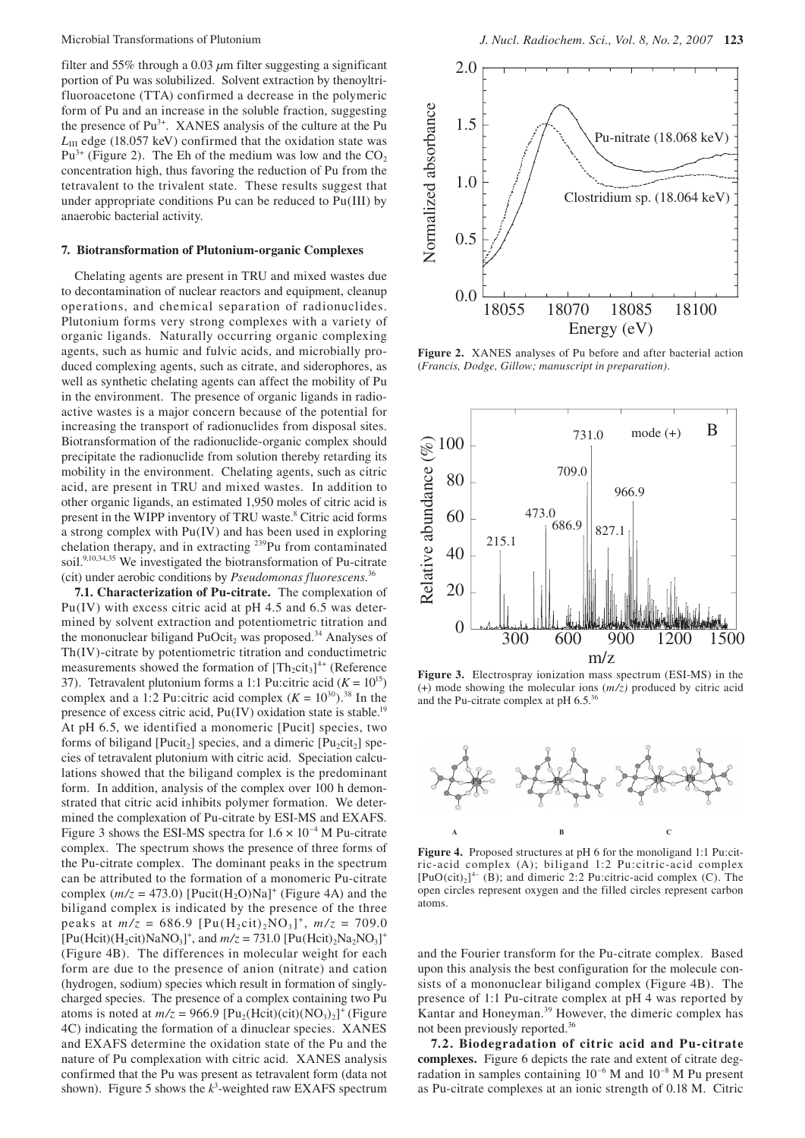filter and 55% through a 0.03 *µ*m filter suggesting a significant portion of Pu was solubilized. Solvent extraction by thenoyltrifluoroacetone (TTA) confirmed a decrease in the polymeric form of Pu and an increase in the soluble fraction, suggesting the presence of Pu<sup>3+</sup>. XANES analysis of the culture at the Pu *L*<sub>III</sub> edge (18.057 keV) confirmed that the oxidation state was  $Pu^{3+}$  (Figure 2). The Eh of the medium was low and the  $CO<sub>2</sub>$ concentration high, thus favoring the reduction of Pu from the tetravalent to the trivalent state. These results suggest that under appropriate conditions Pu can be reduced to Pu(III) by anaerobic bacterial activity.

### **7. Biotransformation of Plutonium-organic Complexes**

Chelating agents are present in TRU and mixed wastes due to decontamination of nuclear reactors and equipment, cleanup operations, and chemical separation of radionuclides. Plutonium forms very strong complexes with a variety of organic ligands. Naturally occurring organic complexing agents, such as humic and fulvic acids, and microbially produced complexing agents, such as citrate, and siderophores, as well as synthetic chelating agents can affect the mobility of Pu in the environment. The presence of organic ligands in radioactive wastes is a major concern because of the potential for increasing the transport of radionuclides from disposal sites. Biotransformation of the radionuclide-organic complex should precipitate the radionuclide from solution thereby retarding its mobility in the environment. Chelating agents, such as citric acid, are present in TRU and mixed wastes. In addition to other organic ligands, an estimated 1,950 moles of citric acid is present in the WIPP inventory of TRU waste.<sup>8</sup> Citric acid forms a strong complex with Pu(IV) and has been used in exploring chelation therapy, and in extracting <sup>239</sup>Pu from contaminated soil.<sup>9,10,34,35</sup> We investigated the biotransformation of Pu-citrate (cit) under aerobic conditions by *Pseudomonas fluorescens*. 36

**7.1. Characterization of Pu-citrate.** The complexation of Pu(IV) with excess citric acid at pH 4.5 and 6.5 was determined by solvent extraction and potentiometric titration and the mononuclear biligand  $PuOcit<sub>2</sub>$  was proposed.<sup>34</sup> Analyses of Th(IV)-citrate by potentiometric titration and conductimetric measurements showed the formation of  $[Th_2cit_3]^{4+}$  (Reference 37). Tetravalent plutonium forms a 1:1 Pu:citric acid  $(K = 10^{15})$ complex and a 1:2 Pu:citric acid complex  $(K = 10^{30})$ .<sup>38</sup> In the presence of excess citric acid,  $Pu(IV)$  oxidation state is stable.<sup>19</sup> At pH 6.5, we identified a monomeric [Pucit] species, two forms of biligand [Pucit<sub>2</sub>] species, and a dimeric [Pu<sub>2</sub>cit<sub>2</sub>] species of tetravalent plutonium with citric acid. Speciation calculations showed that the biligand complex is the predominant form. In addition, analysis of the complex over 100 h demonstrated that citric acid inhibits polymer formation. We determined the complexation of Pu-citrate by ESI-MS and EXAFS. Figure 3 shows the ESI-MS spectra for  $1.6 \times 10^{-4}$  M Pu-citrate complex. The spectrum shows the presence of three forms of the Pu-citrate complex. The dominant peaks in the spectrum can be attributed to the formation of a monomeric Pu-citrate complex  $(m/z = 473.0)$  [Pucit(H<sub>2</sub>O)Na]<sup>+</sup> (Figure 4A) and the biligand complex is indicated by the presence of the three peaks at  $m/z = 686.9$   $[Pu(H<sub>2</sub>cit)<sub>2</sub>NO<sub>3</sub>]<sup>+</sup>$ ,  $m/z = 709.0$  $[Pu(Hcit)(H_2cit)NaNO_3]^+$ , and  $m/z = 731.0 [Pu(Hcit)_2Na_2NO_3]^+$ (Figure 4B). The differences in molecular weight for each form are due to the presence of anion (nitrate) and cation (hydrogen, sodium) species which result in formation of singlycharged species. The presence of a complex containing two Pu atoms is noted at  $m/z = 966.9$   $[Pu<sub>2</sub>(Hcit)(cit)(NO<sub>3</sub>)<sub>2</sub>]<sup>+</sup>$  (Figure 4C) indicating the formation of a dinuclear species. XANES and EXAFS determine the oxidation state of the Pu and the nature of Pu complexation with citric acid. XANES analysis confirmed that the Pu was present as tetravalent form (data not shown). Figure 5 shows the  $k^3$ -weighted raw EXAFS spectrum



**Figure 2.** XANES analyses of Pu before and after bacterial action (*Francis, Dodge, Gillow; manuscript in preparation).*



**Figure 3.** Electrospray ionization mass spectrum (ESI-MS) in the (+) mode showing the molecular ions (*m/z)* produced by citric acid and the Pu-citrate complex at pH 6.5.36



**Figure 4.** Proposed structures at pH 6 for the monoligand 1:1 Pu:citric-acid complex (A); biligand 1:2 Pu:citric-acid complex  $[PuO(cit)<sub>2</sub>]^{4-}$  (B); and dimeric 2:2 Pu:citric-acid complex (C). The open circles represent oxygen and the filled circles represent carbon atoms.

and the Fourier transform for the Pu-citrate complex. Based upon this analysis the best configuration for the molecule consists of a mononuclear biligand complex (Figure 4B). The presence of 1:1 Pu-citrate complex at pH 4 was reported by Kantar and Honeyman.<sup>39</sup> However, the dimeric complex has not been previously reported.36

**7.2. Biodegradation of citric acid and Pu-citrate complexes.** Figure 6 depicts the rate and extent of citrate degradation in samples containing 10–6 M and 10–8 M Pu present as Pu-citrate complexes at an ionic strength of 0.18 M. Citric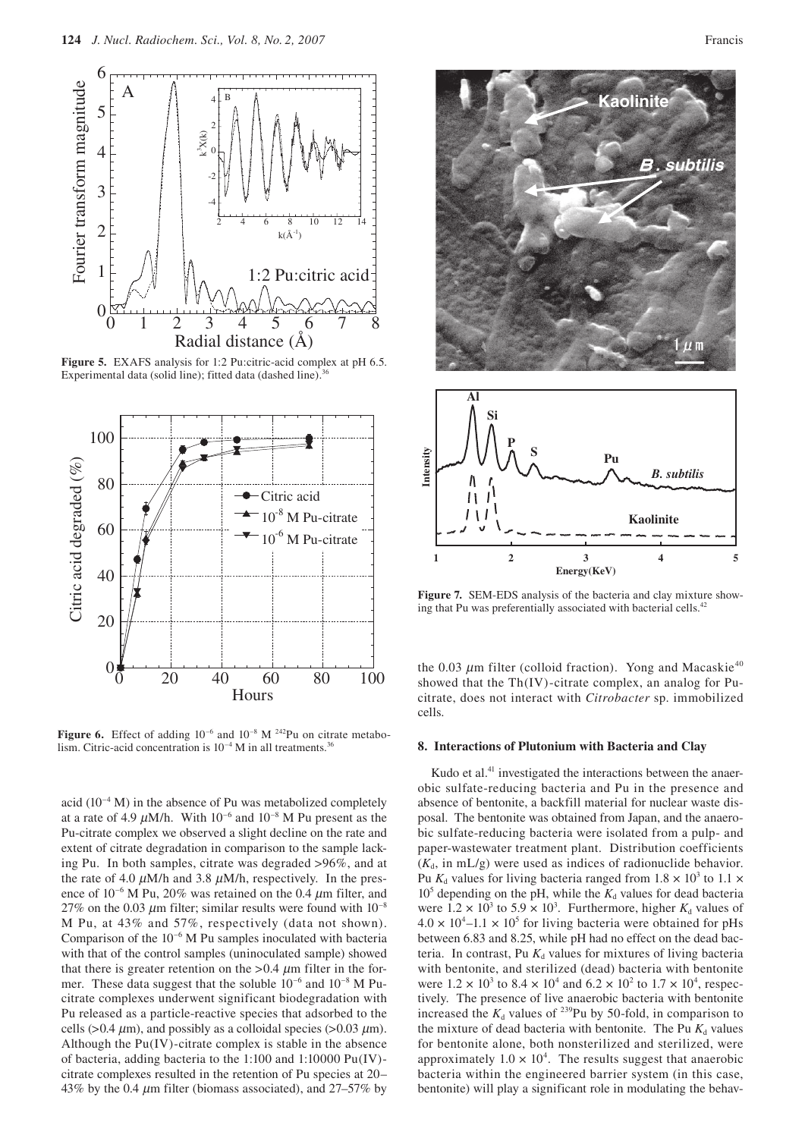

**Figure 5.** EXAFS analysis for 1:2 Pu:citric-acid complex at pH 6.5. Experimental data (solid line); fitted data (dashed line).<sup>3</sup>



**Figure 6.** Effect of adding  $10^{-6}$  and  $10^{-8}$  M <sup>242</sup>Pu on citrate metabolism. Citric-acid concentration is  $10^{-4}$  M in all treatments.<sup>3</sup>

acid  $(10^{-4} \text{ M})$  in the absence of Pu was metabolized completely at a rate of 4.9  $\mu$ M/h. With 10<sup>-6</sup> and 10<sup>-8</sup> M Pu present as the Pu-citrate complex we observed a slight decline on the rate and extent of citrate degradation in comparison to the sample lacking Pu. In both samples, citrate was degraded >96%, and at the rate of 4.0  $\mu$ M/h and 3.8  $\mu$ M/h, respectively. In the presence of  $10^{-6}$  M Pu,  $20\%$  was retained on the 0.4  $\mu$ m filter, and 27% on the 0.03  $\mu$ m filter; similar results were found with 10<sup>-8</sup> M Pu, at 43% and 57%, respectively (data not shown). Comparison of the 10–6 M Pu samples inoculated with bacteria with that of the control samples (uninoculated sample) showed that there is greater retention on the  $> 0.4 \mu$ m filter in the former. These data suggest that the soluble  $10^{-6}$  and  $10^{-8}$  M Pucitrate complexes underwent significant biodegradation with Pu released as a particle-reactive species that adsorbed to the cells ( $> 0.4 \mu$ m), and possibly as a colloidal species ( $> 0.03 \mu$ m). Although the Pu(IV)-citrate complex is stable in the absence of bacteria, adding bacteria to the 1:100 and 1:10000 Pu(IV) citrate complexes resulted in the retention of Pu species at 20– 43% by the 0.4  $\mu$ m filter (biomass associated), and 27–57% by





**Figure 7.** SEM-EDS analysis of the bacteria and clay mixture showing that Pu was preferentially associated with bacterial cells.<sup>42</sup>

the 0.03  $\mu$ m filter (colloid fraction). Yong and Macaskie<sup>40</sup> showed that the Th(IV)-citrate complex, an analog for Pucitrate, does not interact with *Citrobacter* sp. immobilized cells.

### **8. Interactions of Plutonium with Bacteria and Clay**

Kudo et al. $41$  investigated the interactions between the anaerobic sulfate-reducing bacteria and Pu in the presence and absence of bentonite, a backfill material for nuclear waste disposal. The bentonite was obtained from Japan, and the anaerobic sulfate-reducing bacteria were isolated from a pulp- and paper-wastewater treatment plant. Distribution coefficients  $(K_d, \text{ in } mL/g)$  were used as indices of radionuclide behavior. Pu  $K_d$  values for living bacteria ranged from  $1.8 \times 10^3$  to  $1.1 \times$  $10<sup>5</sup>$  depending on the pH, while the  $K_d$  values for dead bacteria were  $1.2 \times 10^3$  to  $5.9 \times 10^3$ . Furthermore, higher  $K_d$  values of  $4.0 \times 10^4$ –1.1 × 10<sup>5</sup> for living bacteria were obtained for pHs between 6.83 and 8.25, while pH had no effect on the dead bacteria. In contrast, Pu  $K_d$  values for mixtures of living bacteria with bentonite, and sterilized (dead) bacteria with bentonite were  $1.2 \times 10^3$  to  $8.4 \times 10^4$  and  $6.2 \times 10^2$  to  $1.7 \times 10^4$ , respectively. The presence of live anaerobic bacteria with bentonite increased the  $K_d$  values of <sup>239</sup>Pu by 50-fold, in comparison to the mixture of dead bacteria with bentonite. The Pu  $K_d$  values for bentonite alone, both nonsterilized and sterilized, were approximately  $1.0 \times 10^4$ . The results suggest that anaerobic bacteria within the engineered barrier system (in this case, bentonite) will play a significant role in modulating the behav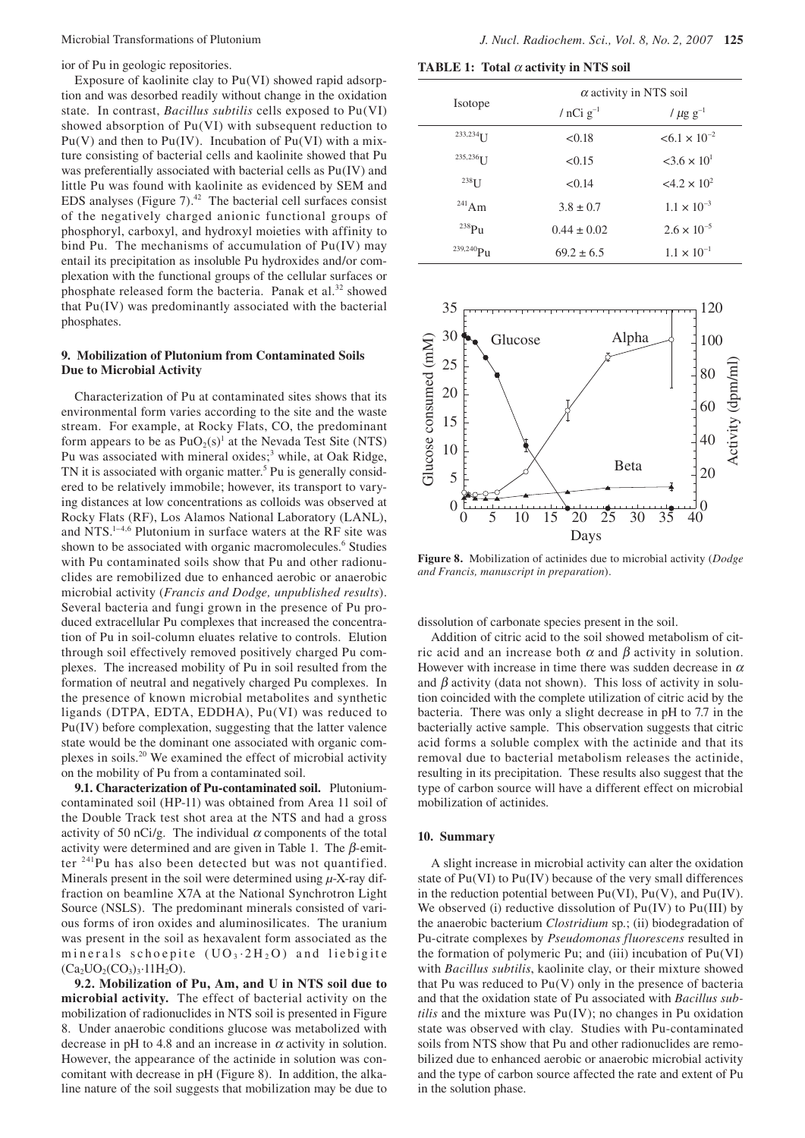ior of Pu in geologic repositories.

Exposure of kaolinite clay to Pu(VI) showed rapid adsorption and was desorbed readily without change in the oxidation state. In contrast, *Bacillus subtilis* cells exposed to Pu(VI) showed absorption of Pu(VI) with subsequent reduction to  $Pu(V)$  and then to  $Pu(IV)$ . Incubation of  $Pu(VI)$  with a mixture consisting of bacterial cells and kaolinite showed that Pu was preferentially associated with bacterial cells as Pu(IV) and little Pu was found with kaolinite as evidenced by SEM and EDS analyses (Figure 7). $42$  The bacterial cell surfaces consist of the negatively charged anionic functional groups of phosphoryl, carboxyl, and hydroxyl moieties with affinity to bind Pu. The mechanisms of accumulation of Pu(IV) may entail its precipitation as insoluble Pu hydroxides and/or complexation with the functional groups of the cellular surfaces or phosphate released form the bacteria. Panak et al.<sup>32</sup> showed that Pu(IV) was predominantly associated with the bacterial phosphates.

## **9. Mobilization of Plutonium from Contaminated Soils Due to Microbial Activity**

Characterization of Pu at contaminated sites shows that its environmental form varies according to the site and the waste stream. For example, at Rocky Flats, CO, the predominant form appears to be as  $PuO_2(s)^1$  at the Nevada Test Site (NTS) Pu was associated with mineral oxides;<sup>3</sup> while, at Oak Ridge, TN it is associated with organic matter.<sup>5</sup> Pu is generally considered to be relatively immobile; however, its transport to varying distances at low concentrations as colloids was observed at Rocky Flats (RF), Los Alamos National Laboratory (LANL), and NTS.1–4,6 Plutonium in surface waters at the RF site was shown to be associated with organic macromolecules.<sup>6</sup> Studies with Pu contaminated soils show that Pu and other radionuclides are remobilized due to enhanced aerobic or anaerobic microbial activity (*Francis and Dodge, unpublished results*). Several bacteria and fungi grown in the presence of Pu produced extracellular Pu complexes that increased the concentration of Pu in soil-column eluates relative to controls. Elution through soil effectively removed positively charged Pu complexes. The increased mobility of Pu in soil resulted from the formation of neutral and negatively charged Pu complexes. In the presence of known microbial metabolites and synthetic ligands (DTPA, EDTA, EDDHA), Pu(VI) was reduced to Pu(IV) before complexation, suggesting that the latter valence state would be the dominant one associated with organic complexes in soils.20 We examined the effect of microbial activity on the mobility of Pu from a contaminated soil.

**9.1. Characterization of Pu-contaminated soil.** Plutoniumcontaminated soil (HP-11) was obtained from Area 11 soil of the Double Track test shot area at the NTS and had a gross activity of 50 nCi/g. The individual  $\alpha$  components of the total activity were determined and are given in Table 1. The  $\beta$ -emitter 241Pu has also been detected but was not quantified. Minerals present in the soil were determined using *µ*-X-ray diffraction on beamline X7A at the National Synchrotron Light Source (NSLS). The predominant minerals consisted of various forms of iron oxides and aluminosilicates. The uranium was present in the soil as hexavalent form associated as the minerals schoepite  $(UO_3.2H_2O)$  and liebigite  $(Ca_2UO_2(CO_3)_3.11H_2O)$ .

**9.2. Mobilization of Pu, Am, and U in NTS soil due to microbial activity.** The effect of bacterial activity on the mobilization of radionuclides in NTS soil is presented in Figure 8. Under anaerobic conditions glucose was metabolized with decrease in pH to 4.8 and an increase in  $\alpha$  activity in solution. However, the appearance of the actinide in solution was concomitant with decrease in pH (Figure 8). In addition, the alkaline nature of the soil suggests that mobilization may be due to

**TABLE 1: Total** α **activity in NTS soil**

| Isotope              | $\alpha$ activity in NTS soil |                           |
|----------------------|-------------------------------|---------------------------|
|                      | / $nCi$ $g^{-1}$              | / $\mu$ g g <sup>-1</sup> |
| 233,234 <sub>T</sub> | < 0.18                        | $< 6.1 \times 10^{-2}$    |
| 235,236 $\uparrow$ T | < 0.15                        | $3.6 \times 10^{1}$       |
| $238$ <sup>T</sup>   | < 0.14                        | $<4.2 \times 10^2$        |
| $^{241}$ Am          | $3.8 \pm 0.7$                 | $1.1 \times 10^{-3}$      |
| $^{238}P_{11}$       | $0.44 \pm 0.02$               | $2.6 \times 10^{-5}$      |
| $^{239,240}Pu$       | $69.2 \pm 6.5$                | $1.1 \times 10^{-1}$      |



**Figure 8.** Mobilization of actinides due to microbial activity (*Dodge and Francis, manuscript in preparation*).

dissolution of carbonate species present in the soil.

Addition of citric acid to the soil showed metabolism of citric acid and an increase both  $\alpha$  and  $\beta$  activity in solution. However with increase in time there was sudden decrease in  $\alpha$ and  $\beta$  activity (data not shown). This loss of activity in solution coincided with the complete utilization of citric acid by the bacteria. There was only a slight decrease in pH to 7.7 in the bacterially active sample. This observation suggests that citric acid forms a soluble complex with the actinide and that its removal due to bacterial metabolism releases the actinide, resulting in its precipitation. These results also suggest that the type of carbon source will have a different effect on microbial mobilization of actinides.

### **10. Summary**

A slight increase in microbial activity can alter the oxidation state of Pu(VI) to Pu(IV) because of the very small differences in the reduction potential between  $Pu(VI)$ ,  $Pu(V)$ , and  $Pu(IV)$ . We observed (i) reductive dissolution of  $Pu(IV)$  to  $Pu(III)$  by the anaerobic bacterium *Clostridium* sp.; (ii) biodegradation of Pu-citrate complexes by *Pseudomonas fluorescens* resulted in the formation of polymeric Pu; and (iii) incubation of Pu(VI) with *Bacillus subtilis*, kaolinite clay, or their mixture showed that Pu was reduced to  $Pu(V)$  only in the presence of bacteria and that the oxidation state of Pu associated with *Bacillus subtilis* and the mixture was Pu(IV); no changes in Pu oxidation state was observed with clay. Studies with Pu-contaminated soils from NTS show that Pu and other radionuclides are remobilized due to enhanced aerobic or anaerobic microbial activity and the type of carbon source affected the rate and extent of Pu in the solution phase.